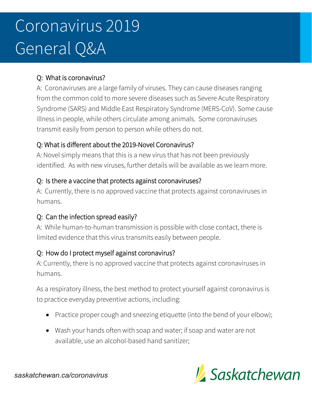# Coronavirus 2019 General Q&A

#### Q: What is coronavirus?

A: Coronaviruses are a large family of viruses. They can cause diseases ranging from the common cold to more severe diseases such as Severe Acute Respiratory Syndrome (SARS) and Middle East Respiratory Syndrome (MERS-CoV). Some cause illness in people, while others circulate among animals. Some coronaviruses transmit easily from person to person while others do not.

## Q: What is different about the 2019-Novel Coronavirus?

A: Novel simply means that this is a new virus that has not been previously identified. As with new viruses, further details will be available as we learn more.

#### Q: Is there a vaccine that protects against coronaviruses?

A: Currently, there is no approved vaccine that protects against coronaviruses in humans.

## Q: Can the infection spread easily?

A: While human-to-human transmission is possible with close contact, there is limited evidence that this virus transmits easily between people.

#### Q: How do I protect myself against coronavirus?

A: Currently, there is no approved vaccine that protects against coronaviruses in humans.

As a respiratory illness, the best method to protect yourself against coronavirus is to practice everyday preventive actions, including:

- Practice proper cough and sneezing etiquette (into the bend of your elbow);
- Wash your hands often with soap and water; if soap and water are not available, use an alcohol-based hand sanitizer;



*saskatchewan.ca/coronavirus*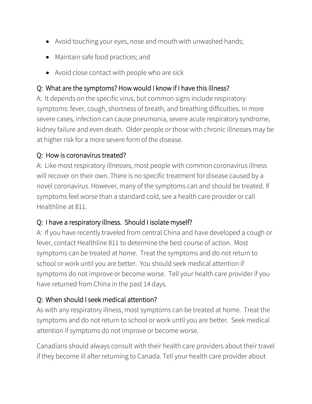- Avoid touching your eyes, nose and mouth with unwashed hands;
- Maintain safe food practices; and
- Avoid close contact with people who are sick

## Q: What are the symptoms? How would I know if I have this illness?

A: It depends on the specific virus, but common signs include respiratory symptoms: fever, cough, shortness of breath, and breathing difficulties. In more severe cases, infection can cause pneumonia, severe acute respiratory syndrome, kidney failure and even death. Older people or those with chronic illnesses may be at higher risk for a more severe form of the disease.

## Q: How is coronavirus treated?

A: Like most respiratory illnesses, most people with common coronavirus illness will recover on their own. There is no specific treatment for disease caused by a novel coronavirus. However, many of the symptoms can and should be treated. If symptoms feel worse than a standard cold, see a health care provider or call Healthline at 811.

## Q: I have a respiratory illness. Should I isolate myself?

A: If you have recently traveled from central China and have developed a cough or fever, contact Healthline 811 to determine the best course of action. Most symptoms can be treated at home. Treat the symptoms and do not return to school or work until you are better. You should seek medical attention if symptoms do not improve or become worse. Tell your health care provider if you have returned from China in the past 14 days.

## Q: When should I seek medical attention?

As with any respiratory illness, most symptoms can be treated at home. Treat the symptoms and do not return to school or work until you are better. Seek medical attention if symptoms do not improve or become worse.

Canadians should always consult with their health care providers about their travel if they become ill after returning to Canada. Tell your health care provider about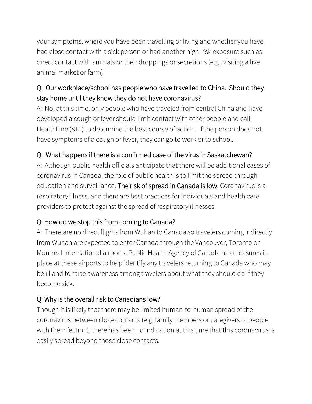your symptoms, where you have been travelling or living and whether you have had close contact with a sick person or had another high-risk exposure such as direct contact with animals or their droppings or secretions (e.g., visiting a live animal market or farm).

## Q: Our workplace/school has people who have travelled to China. Should they stay home until they know they do not have coronavirus?

A: No, at this time, only people who have traveled from central China and have developed a cough or fever should limit contact with other people and call HealthLine (811) to determine the best course of action. If the person does not have symptoms of a cough or fever, they can go to work or to school.

# Q: What happens if there is a confirmed case of the virus in Saskatchewan?

A: Although public health officials anticipate that there will be additional cases of coronavirus in Canada, the role of public health is to limit the spread through education and surveillance. The risk of spread in Canada is low. Coronavirus is a respiratory illness, and there are best practices for individuals and health care providers to protect against the spread of respiratory illnesses.

## Q: How do we stop this from coming to Canada?

A: There are no direct flights from Wuhan to Canada so travelers coming indirectly from Wuhan are expected to enter Canada through the Vancouver, Toronto or Montreal international airports. Public Health Agency of Canada has measures in place at these airports to help identify any travelers returning to Canada who may be ill and to raise awareness among travelers about what they should do if they become sick.

## Q: Why is the overall risk to Canadians low?

Though it is likely that there may be limited human-to-human spread of the coronavirus between close contacts (e.g. family members or caregivers of people with the infection), there has been no indication at this time that this coronavirus is easily spread beyond those close contacts.